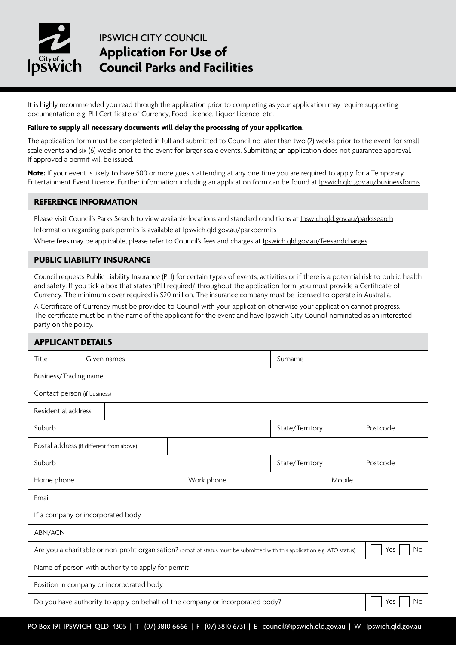

# IPSWICH CITY COUNCIL **Application For Use of Council Parks and Facilities**

It is highly recommended you read through the application prior to completing as your application may require supporting documentation e.g. PLI Certificate of Currency, Food Licence, Liquor Licence, etc.

#### **Failure to supply all necessary documents will delay the processing of your application.**

The application form must be completed in full and submitted to Council no later than two (2) weeks prior to the event for small scale events and six (6) weeks prior to the event for larger scale events. Submitting an application does not guarantee approval. If approved a permit will be issued.

**Note:** If your event is likely to have 500 or more guests attending at any one time you are required to apply for a Temporary Entertainment Event Licence. Further information including an application form can be found at <Ipswich.qld.gov.au/businessforms>

#### **REFERENCE INFORMATION**

Please visit Council's Parks Search to view available locations and standard conditions at [Ipswich.qld.gov.au/parkssearch](http://Ipswich.qld.gov.au/parkssearch)

Information regarding park permits is available at [Ipswich.qld.gov.au/parkpermits](http://Ipswich.qld.gov.au/parkpermits)

Where fees may be applicable, please refer to Council's fees and charges at [Ipswich.qld.gov.au/feesandcharges](http://Ipswich.qld.gov.au/feesandcharges)

#### **PUBLIC LIABILITY INSURANCE**

Council requests Public Liability Insurance (PLI) for certain types of events, activities or if there is a potential risk to public health and safety. If you tick a box that states '(PLI required)' throughout the application form, you must provide a Certificate of Currency. The minimum cover required is \$20 million. The insurance company must be licensed to operate in Australia.

A Certificate of Currency must be provided to Council with your application otherwise your application cannot progress. The certificate must be in the name of the applicant for the event and have Ipswich City Council nominated as an interested party on the policy.

| <b>APPLICANT DETAILS</b>                                                                                                                       |                                                                                                   |             |  |  |  |            |  |                 |          |          |  |  |
|------------------------------------------------------------------------------------------------------------------------------------------------|---------------------------------------------------------------------------------------------------|-------------|--|--|--|------------|--|-----------------|----------|----------|--|--|
| Title                                                                                                                                          |                                                                                                   | Given names |  |  |  |            |  |                 | Surname  |          |  |  |
| Business/Trading name                                                                                                                          |                                                                                                   |             |  |  |  |            |  |                 |          |          |  |  |
|                                                                                                                                                | Contact person (if business)                                                                      |             |  |  |  |            |  |                 |          |          |  |  |
| Residential address                                                                                                                            |                                                                                                   |             |  |  |  |            |  |                 |          |          |  |  |
| Suburb                                                                                                                                         |                                                                                                   |             |  |  |  |            |  | State/Territory | Postcode |          |  |  |
|                                                                                                                                                | Postal address (if different from above)                                                          |             |  |  |  |            |  |                 |          |          |  |  |
| Suburb                                                                                                                                         |                                                                                                   |             |  |  |  |            |  | State/Territory |          | Postcode |  |  |
|                                                                                                                                                | Home phone                                                                                        |             |  |  |  | Work phone |  |                 | Mobile   |          |  |  |
| Email                                                                                                                                          |                                                                                                   |             |  |  |  |            |  |                 |          |          |  |  |
|                                                                                                                                                | If a company or incorporated body                                                                 |             |  |  |  |            |  |                 |          |          |  |  |
|                                                                                                                                                | ABN/ACN                                                                                           |             |  |  |  |            |  |                 |          |          |  |  |
| Are you a charitable or non-profit organisation? (proof of status must be submitted with this application e.g. ATO status)<br>Yes<br><b>No</b> |                                                                                                   |             |  |  |  |            |  |                 |          |          |  |  |
| Name of person with authority to apply for permit                                                                                              |                                                                                                   |             |  |  |  |            |  |                 |          |          |  |  |
| Position in company or incorporated body                                                                                                       |                                                                                                   |             |  |  |  |            |  |                 |          |          |  |  |
|                                                                                                                                                | Do you have authority to apply on behalf of the company or incorporated body?<br>Yes<br><b>No</b> |             |  |  |  |            |  |                 |          |          |  |  |
|                                                                                                                                                |                                                                                                   |             |  |  |  |            |  |                 |          |          |  |  |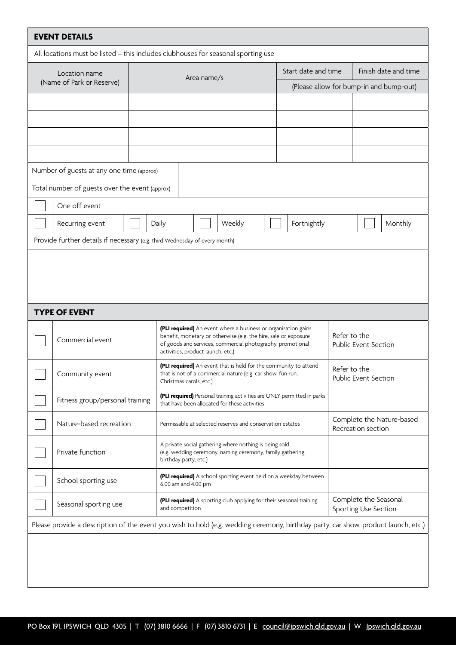| <b>EVENT DETAILS</b>                                                                                                               |                                                                                                                                                                               |                                                                                         |             |                                                                                                                                                                                                                                      |                                                                     |                                      |                      |                                                 |                                               |         |
|------------------------------------------------------------------------------------------------------------------------------------|-------------------------------------------------------------------------------------------------------------------------------------------------------------------------------|-----------------------------------------------------------------------------------------|-------------|--------------------------------------------------------------------------------------------------------------------------------------------------------------------------------------------------------------------------------------|---------------------------------------------------------------------|--------------------------------------|----------------------|-------------------------------------------------|-----------------------------------------------|---------|
| All locations must be listed - this includes clubhouses for seasonal sporting use                                                  |                                                                                                                                                                               |                                                                                         |             |                                                                                                                                                                                                                                      |                                                                     |                                      |                      |                                                 |                                               |         |
|                                                                                                                                    | Location name                                                                                                                                                                 |                                                                                         | Area name/s |                                                                                                                                                                                                                                      | Start date and time                                                 |                                      | Finish date and time |                                                 |                                               |         |
|                                                                                                                                    | (Name of Park or Reserve)                                                                                                                                                     |                                                                                         |             |                                                                                                                                                                                                                                      | (Please allow for bump-in and bump-out)                             |                                      |                      |                                                 |                                               |         |
|                                                                                                                                    |                                                                                                                                                                               |                                                                                         |             |                                                                                                                                                                                                                                      |                                                                     |                                      |                      |                                                 |                                               |         |
|                                                                                                                                    |                                                                                                                                                                               |                                                                                         |             |                                                                                                                                                                                                                                      |                                                                     |                                      |                      |                                                 |                                               |         |
|                                                                                                                                    |                                                                                                                                                                               |                                                                                         |             |                                                                                                                                                                                                                                      |                                                                     |                                      |                      |                                                 |                                               |         |
|                                                                                                                                    |                                                                                                                                                                               |                                                                                         |             |                                                                                                                                                                                                                                      |                                                                     |                                      |                      |                                                 |                                               |         |
|                                                                                                                                    | Number of guests at any one time (approx)                                                                                                                                     |                                                                                         |             |                                                                                                                                                                                                                                      |                                                                     |                                      |                      |                                                 |                                               |         |
|                                                                                                                                    | Total number of guests over the event (approx)                                                                                                                                |                                                                                         |             |                                                                                                                                                                                                                                      |                                                                     |                                      |                      |                                                 |                                               |         |
|                                                                                                                                    | One off event                                                                                                                                                                 |                                                                                         |             |                                                                                                                                                                                                                                      |                                                                     |                                      |                      |                                                 |                                               |         |
|                                                                                                                                    | Recurring event                                                                                                                                                               |                                                                                         | Daily       |                                                                                                                                                                                                                                      | Weekly                                                              |                                      | Fortnightly          |                                                 |                                               | Monthly |
|                                                                                                                                    | Provide further details if necessary (e.g. third Wednesday of every month)                                                                                                    |                                                                                         |             |                                                                                                                                                                                                                                      |                                                                     |                                      |                      |                                                 |                                               |         |
|                                                                                                                                    |                                                                                                                                                                               |                                                                                         |             |                                                                                                                                                                                                                                      |                                                                     |                                      |                      |                                                 |                                               |         |
|                                                                                                                                    |                                                                                                                                                                               |                                                                                         |             |                                                                                                                                                                                                                                      |                                                                     |                                      |                      |                                                 |                                               |         |
|                                                                                                                                    |                                                                                                                                                                               |                                                                                         |             |                                                                                                                                                                                                                                      |                                                                     |                                      |                      |                                                 |                                               |         |
|                                                                                                                                    | <b>TYPE OF EVENT</b>                                                                                                                                                          |                                                                                         |             |                                                                                                                                                                                                                                      |                                                                     |                                      |                      |                                                 |                                               |         |
|                                                                                                                                    | Commercial event                                                                                                                                                              |                                                                                         |             | (PLI required) An event where a business or organisation gains<br>benefit, monetary or otherwise (e.g. the hire, sale or exposure<br>of goods and services, commercial photography, promotional<br>activities, product launch, etc.) |                                                                     |                                      |                      | Refer to the                                    | <b>Public Event Section</b>                   |         |
|                                                                                                                                    | (PLI required) An event that is held for the community to attend<br>Community event<br>that is not of a commercial nature (e.g. car show, fun run,<br>Christmas carols, etc.) |                                                                                         |             |                                                                                                                                                                                                                                      |                                                                     | Refer to the<br>Public Event Section |                      |                                                 |                                               |         |
|                                                                                                                                    | (PLI required) Personal training activities are ONLY permitted in parks<br>Fitness group/personal training<br>that have been allocated for these activities                   |                                                                                         |             |                                                                                                                                                                                                                                      |                                                                     |                                      |                      |                                                 |                                               |         |
|                                                                                                                                    | Nature-based recreation                                                                                                                                                       |                                                                                         |             | Permissable at selected reserves and conservation estates                                                                                                                                                                            |                                                                     |                                      |                      | Complete the Nature-based<br>Recreation section |                                               |         |
|                                                                                                                                    | A private social gathering where nothing is being sold<br>Private function<br>(e.g. wedding ceremony, naming ceremony, family gathering,<br>birthday party, etc.)             |                                                                                         |             |                                                                                                                                                                                                                                      |                                                                     |                                      |                      |                                                 |                                               |         |
|                                                                                                                                    | School sporting use                                                                                                                                                           | (PLI required) A school sporting event held on a weekday between<br>6.00 am and 4.00 pm |             |                                                                                                                                                                                                                                      |                                                                     |                                      |                      |                                                 |                                               |         |
| Seasonal sporting use<br>and competition                                                                                           |                                                                                                                                                                               |                                                                                         |             |                                                                                                                                                                                                                                      | (PLI required) A sporting club applying for their seasonal training |                                      |                      |                                                 | Complete the Seasonal<br>Sporting Use Section |         |
| Please provide a description of the event you wish to hold (e.g. wedding ceremony, birthday party, car show, product launch, etc.) |                                                                                                                                                                               |                                                                                         |             |                                                                                                                                                                                                                                      |                                                                     |                                      |                      |                                                 |                                               |         |
|                                                                                                                                    |                                                                                                                                                                               |                                                                                         |             |                                                                                                                                                                                                                                      |                                                                     |                                      |                      |                                                 |                                               |         |
|                                                                                                                                    |                                                                                                                                                                               |                                                                                         |             |                                                                                                                                                                                                                                      |                                                                     |                                      |                      |                                                 |                                               |         |
|                                                                                                                                    |                                                                                                                                                                               |                                                                                         |             |                                                                                                                                                                                                                                      |                                                                     |                                      |                      |                                                 |                                               |         |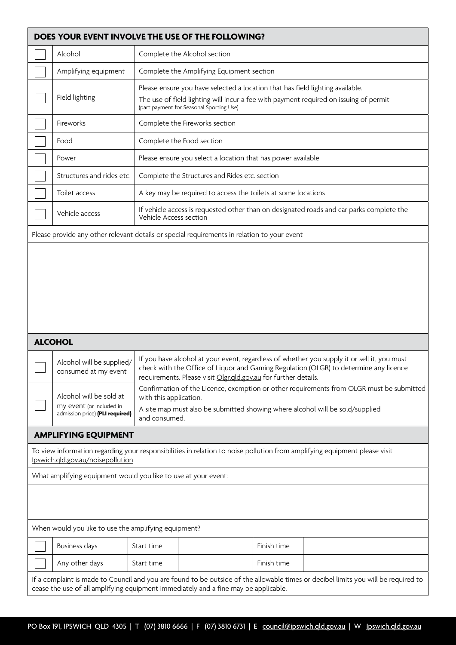|                                                                                                                                                                                                                           | DOES YOUR EVENT INVOLVE THE USE OF THE FOLLOWING?                                                                                                                                                                                   |                                                                                                                                                                                                                      |  |  |  |  |  |
|---------------------------------------------------------------------------------------------------------------------------------------------------------------------------------------------------------------------------|-------------------------------------------------------------------------------------------------------------------------------------------------------------------------------------------------------------------------------------|----------------------------------------------------------------------------------------------------------------------------------------------------------------------------------------------------------------------|--|--|--|--|--|
|                                                                                                                                                                                                                           | Alcohol                                                                                                                                                                                                                             | Complete the Alcohol section                                                                                                                                                                                         |  |  |  |  |  |
|                                                                                                                                                                                                                           | Amplifying equipment                                                                                                                                                                                                                | Complete the Amplifying Equipment section                                                                                                                                                                            |  |  |  |  |  |
|                                                                                                                                                                                                                           | Field lighting                                                                                                                                                                                                                      | Please ensure you have selected a location that has field lighting available.<br>The use of field lighting will incur a fee with payment required on issuing of permit<br>(part payment for Seasonal Sporting Use).  |  |  |  |  |  |
|                                                                                                                                                                                                                           | Fireworks                                                                                                                                                                                                                           | Complete the Fireworks section                                                                                                                                                                                       |  |  |  |  |  |
|                                                                                                                                                                                                                           | Food                                                                                                                                                                                                                                | Complete the Food section                                                                                                                                                                                            |  |  |  |  |  |
|                                                                                                                                                                                                                           | Power                                                                                                                                                                                                                               | Please ensure you select a location that has power available                                                                                                                                                         |  |  |  |  |  |
|                                                                                                                                                                                                                           | Structures and rides etc.                                                                                                                                                                                                           | Complete the Structures and Rides etc. section                                                                                                                                                                       |  |  |  |  |  |
|                                                                                                                                                                                                                           | Toilet access                                                                                                                                                                                                                       | A key may be required to access the toilets at some locations                                                                                                                                                        |  |  |  |  |  |
|                                                                                                                                                                                                                           | Vehicle access                                                                                                                                                                                                                      | If vehicle access is requested other than on designated roads and car parks complete the<br>Vehicle Access section                                                                                                   |  |  |  |  |  |
|                                                                                                                                                                                                                           |                                                                                                                                                                                                                                     | Please provide any other relevant details or special requirements in relation to your event                                                                                                                          |  |  |  |  |  |
|                                                                                                                                                                                                                           |                                                                                                                                                                                                                                     |                                                                                                                                                                                                                      |  |  |  |  |  |
|                                                                                                                                                                                                                           | <b>ALCOHOL</b><br>If you have alcohol at your event, regardless of whether you supply it or sell it, you must<br>Alcohol will be supplied/<br>check with the Office of Liquor and Gaming Regulation (OLGR) to determine any licence |                                                                                                                                                                                                                      |  |  |  |  |  |
|                                                                                                                                                                                                                           | consumed at my event                                                                                                                                                                                                                | requirements. Please visit Olgr.qld.gov.au for further details.                                                                                                                                                      |  |  |  |  |  |
|                                                                                                                                                                                                                           | Alcohol will be sold at<br>my event (or included in<br>admission price) (PLI required)                                                                                                                                              | Confirmation of the Licence, exemption or other requirements from OLGR must be submitted<br>with this application.<br>A site map must also be submitted showing where alcohol will be sold/supplied<br>and consumed. |  |  |  |  |  |
|                                                                                                                                                                                                                           | <b>AMPLIFYING EQUIPMENT</b>                                                                                                                                                                                                         |                                                                                                                                                                                                                      |  |  |  |  |  |
|                                                                                                                                                                                                                           | Ipswich.gld.gov.au/noisepollution                                                                                                                                                                                                   | To view information regarding your responsibilities in relation to noise pollution from amplifying equipment please visit                                                                                            |  |  |  |  |  |
|                                                                                                                                                                                                                           | What amplifying equipment would you like to use at your event:                                                                                                                                                                      |                                                                                                                                                                                                                      |  |  |  |  |  |
|                                                                                                                                                                                                                           |                                                                                                                                                                                                                                     |                                                                                                                                                                                                                      |  |  |  |  |  |
|                                                                                                                                                                                                                           | When would you like to use the amplifying equipment?                                                                                                                                                                                |                                                                                                                                                                                                                      |  |  |  |  |  |
|                                                                                                                                                                                                                           | <b>Business days</b>                                                                                                                                                                                                                | Start time<br>Finish time                                                                                                                                                                                            |  |  |  |  |  |
|                                                                                                                                                                                                                           | Any other days                                                                                                                                                                                                                      | Finish time<br>Start time                                                                                                                                                                                            |  |  |  |  |  |
| If a complaint is made to Council and you are found to be outside of the allowable times or decibel limits you will be required to<br>cease the use of all amplifying equipment immediately and a fine may be applicable. |                                                                                                                                                                                                                                     |                                                                                                                                                                                                                      |  |  |  |  |  |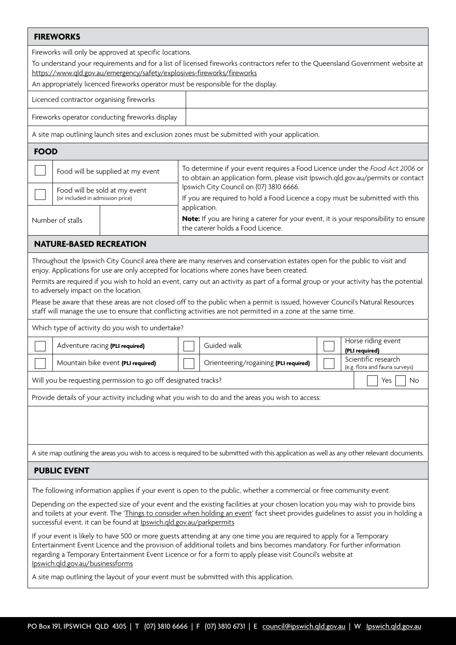### **FIREWORKS**

Fireworks will only be approved at specific locations.

To understand your requirements and for a list of licensed fireworks contractors refer to the Queensland Government website at <https://www.qld.gov.au/emergency/safety/explosives-fireworks/fireworks>

An appropriately licenced fireworks operator must be responsible for the display.

Licenced contractor organising fireworks

Fireworks operator conducting fireworks display

A site map outlining launch sites and exclusion zones must be submitted with your application.

## **FOOD**

|                  |                                  | Food will be supplied at my event | To determine if your event requires a Food Licence under the Food Act 2006 or<br>to obtain an application form, please visit Ipswich.qld.gov.au/permits or contact |  |  |  |  |
|------------------|----------------------------------|-----------------------------------|--------------------------------------------------------------------------------------------------------------------------------------------------------------------|--|--|--|--|
|                  | (or included in admission price) | Food will be sold at my event     | Ipswich City Council on (07) 3810 6666.<br>If you are required to hold a Food Licence a copy must be submitted with this                                           |  |  |  |  |
| Number of stalls |                                  |                                   | application.<br>Note: If you are hiring a caterer for your event, it is your responsibility to ensure<br>the caterer holds a Food Licence.                         |  |  |  |  |

## **NATURE-BASED RECREATION**

Throughout the Ipswich City Council area there are many reserves and conservation estates open for the public to visit and enjoy. Applications for use are only accepted for locations where zones have been created.

Permits are required if you wish to hold an event, carry out an activity as part of a formal group or your activity has the potential to adversely impact on the location.

Please be aware that these areas are not closed off to the public when a permit is issued, however Council's Natural Resources staff will manage the use to ensure that conflicting activities are not permitted in a zone at the same time.

Which type of activity do you wish to undertake?

| Adventure racing (PLI required)                                               |  | Guided walk                           |  | Horse riding event                                    |  |  |
|-------------------------------------------------------------------------------|--|---------------------------------------|--|-------------------------------------------------------|--|--|
|                                                                               |  |                                       |  | (PLI required)                                        |  |  |
| Mountain bike event (PLI required)                                            |  | Orienteering/rogaining (PLI required) |  | Scientific research<br>(e.g. flora and fauna surveys) |  |  |
| Will you be requesting permission to go off designated tracks?<br>Yes.<br>No. |  |                                       |  |                                                       |  |  |

Provide details of your activity including what you wish to do and the areas you wish to access:

A site map outlining the areas you wish to access is required to be submitted with this application as well as any other relevant documents.

# **PUBLIC EVENT**

The following information applies if your event is open to the public, whether a commercial or free community event.

Depending on the expected size of your event and the existing facilities at your chosen location you may wish to provide bins and toilets at your event. The ['Things to consider when holding an event](https://www.ipswich.qld.gov.au/__data/assets/pdf_file/0008/106001/Things-to-consider-when-holding-an-event.pdf)' fact sheet provides guidelines to assist you in holding a successful event, it can be found at <Ipswich.qld.gov.au/parkpermits>

If your event is likely to have 500 or more guests attending at any one time you are required to apply for a Temporary Entertainment Event Licence and the provision of additional toilets and bins becomes mandatory. For further information regarding a Temporary Entertainment Event Licence or for a form to apply please visit Council's website at [Ipswich.qld.gov.au/businessforms](http://Ipswich.qld.gov.au/businessforms)

A site map outlining the layout of your event must be submitted with this application.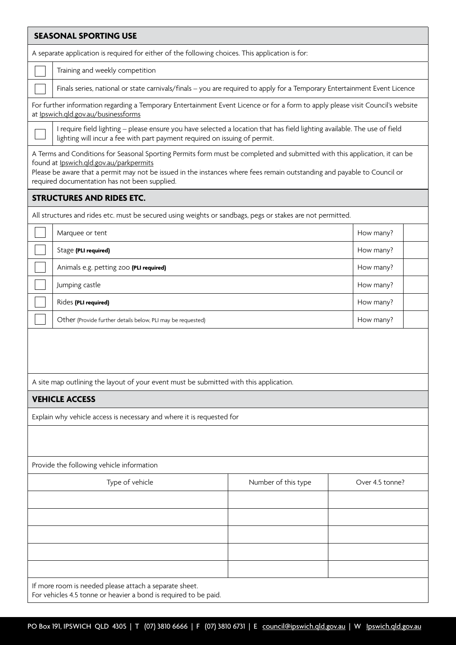| <b>SEASONAL SPORTING USE</b>                                                                                                                                                                                                                                                                                                                       |                                                                                                                                                                                                         |           |  |  |  |  |  |  |
|----------------------------------------------------------------------------------------------------------------------------------------------------------------------------------------------------------------------------------------------------------------------------------------------------------------------------------------------------|---------------------------------------------------------------------------------------------------------------------------------------------------------------------------------------------------------|-----------|--|--|--|--|--|--|
| A separate application is required for either of the following choices. This application is for:                                                                                                                                                                                                                                                   |                                                                                                                                                                                                         |           |  |  |  |  |  |  |
| Training and weekly competition                                                                                                                                                                                                                                                                                                                    |                                                                                                                                                                                                         |           |  |  |  |  |  |  |
|                                                                                                                                                                                                                                                                                                                                                    | Finals series, national or state carnivals/finals - you are required to apply for a Temporary Entertainment Event Licence                                                                               |           |  |  |  |  |  |  |
| For further information regarding a Temporary Entertainment Event Licence or for a form to apply please visit Council's website<br>at Ipswich.qld.gov.au/businessforms                                                                                                                                                                             |                                                                                                                                                                                                         |           |  |  |  |  |  |  |
|                                                                                                                                                                                                                                                                                                                                                    | I require field lighting - please ensure you have selected a location that has field lighting available. The use of field<br>lighting will incur a fee with part payment required on issuing of permit. |           |  |  |  |  |  |  |
| A Terms and Conditions for Seasonal Sporting Permits form must be completed and submitted with this application, it can be<br>found at Ipswich.qld.gov.au/parkpermits<br>Please be aware that a permit may not be issued in the instances where fees remain outstanding and payable to Council or<br>required documentation has not been supplied. |                                                                                                                                                                                                         |           |  |  |  |  |  |  |
| <b>STRUCTURES AND RIDES ETC.</b>                                                                                                                                                                                                                                                                                                                   |                                                                                                                                                                                                         |           |  |  |  |  |  |  |
| All structures and rides etc. must be secured using weights or sandbags, pegs or stakes are not permitted.                                                                                                                                                                                                                                         |                                                                                                                                                                                                         |           |  |  |  |  |  |  |
| Marquee or tent                                                                                                                                                                                                                                                                                                                                    |                                                                                                                                                                                                         | How many? |  |  |  |  |  |  |
| Stage (PLI required)                                                                                                                                                                                                                                                                                                                               |                                                                                                                                                                                                         | How many? |  |  |  |  |  |  |
| Animals e.g. petting zoo (PLI required)                                                                                                                                                                                                                                                                                                            |                                                                                                                                                                                                         |           |  |  |  |  |  |  |
| Jumping castle                                                                                                                                                                                                                                                                                                                                     |                                                                                                                                                                                                         |           |  |  |  |  |  |  |
| Rides (PLI required)                                                                                                                                                                                                                                                                                                                               | How many?                                                                                                                                                                                               |           |  |  |  |  |  |  |
| Other (Provide further details below, PLI may be requested)                                                                                                                                                                                                                                                                                        |                                                                                                                                                                                                         | How many? |  |  |  |  |  |  |
| A site map outlining the layout of your event must be submitted with this application.                                                                                                                                                                                                                                                             |                                                                                                                                                                                                         |           |  |  |  |  |  |  |
| <b>VEHICLE ACCESS</b>                                                                                                                                                                                                                                                                                                                              |                                                                                                                                                                                                         |           |  |  |  |  |  |  |
| Explain why vehicle access is necessary and where it is requested for                                                                                                                                                                                                                                                                              |                                                                                                                                                                                                         |           |  |  |  |  |  |  |
|                                                                                                                                                                                                                                                                                                                                                    |                                                                                                                                                                                                         |           |  |  |  |  |  |  |
| Provide the following vehicle information                                                                                                                                                                                                                                                                                                          |                                                                                                                                                                                                         |           |  |  |  |  |  |  |
| Type of vehicle                                                                                                                                                                                                                                                                                                                                    | Over 4.5 tonne?                                                                                                                                                                                         |           |  |  |  |  |  |  |
|                                                                                                                                                                                                                                                                                                                                                    | Number of this type                                                                                                                                                                                     |           |  |  |  |  |  |  |
|                                                                                                                                                                                                                                                                                                                                                    |                                                                                                                                                                                                         |           |  |  |  |  |  |  |
|                                                                                                                                                                                                                                                                                                                                                    |                                                                                                                                                                                                         |           |  |  |  |  |  |  |
|                                                                                                                                                                                                                                                                                                                                                    |                                                                                                                                                                                                         |           |  |  |  |  |  |  |
|                                                                                                                                                                                                                                                                                                                                                    |                                                                                                                                                                                                         |           |  |  |  |  |  |  |
| If more room is needed please attach a separate sheet.<br>For vehicles 4.5 tonne or heavier a bond is required to be paid.                                                                                                                                                                                                                         |                                                                                                                                                                                                         |           |  |  |  |  |  |  |